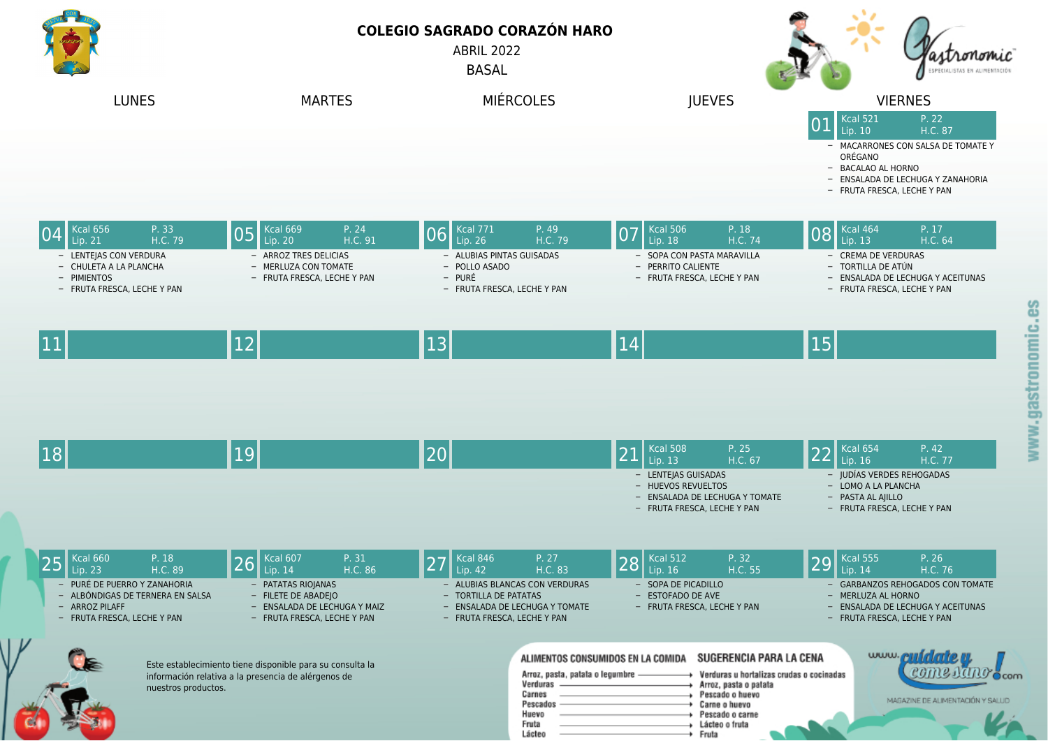**COLEGIO SAGRADO CORAZÓN HARO** ABRIL 2022

**BASAL** 





Lácteo

Fruta